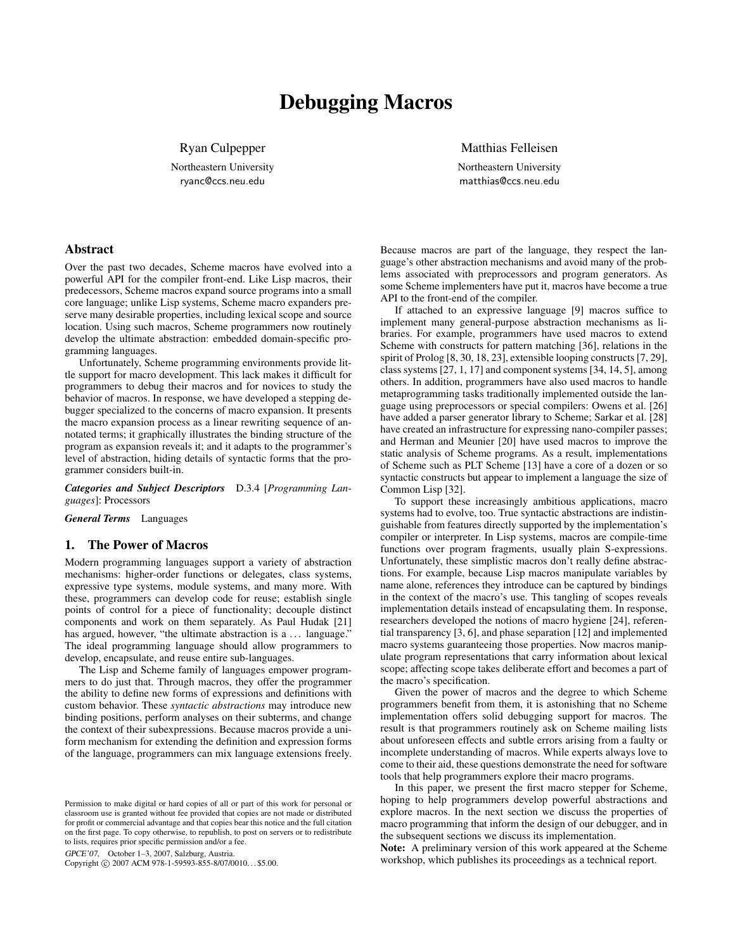# Debugging Macros

Ryan Culpepper

Northeastern University ryanc@ccs.neu.edu

Matthias Felleisen

Northeastern University matthias@ccs.neu.edu

## Abstract

Over the past two decades, Scheme macros have evolved into a powerful API for the compiler front-end. Like Lisp macros, their predecessors, Scheme macros expand source programs into a small core language; unlike Lisp systems, Scheme macro expanders preserve many desirable properties, including lexical scope and source location. Using such macros, Scheme programmers now routinely develop the ultimate abstraction: embedded domain-specific programming languages.

Unfortunately, Scheme programming environments provide little support for macro development. This lack makes it difficult for programmers to debug their macros and for novices to study the behavior of macros. In response, we have developed a stepping debugger specialized to the concerns of macro expansion. It presents the macro expansion process as a linear rewriting sequence of annotated terms; it graphically illustrates the binding structure of the program as expansion reveals it; and it adapts to the programmer's level of abstraction, hiding details of syntactic forms that the programmer considers built-in.

*Categories and Subject Descriptors* D.3.4 [*Programming Languages*]: Processors

*General Terms* Languages

## 1. The Power of Macros

Modern programming languages support a variety of abstraction mechanisms: higher-order functions or delegates, class systems, expressive type systems, module systems, and many more. With these, programmers can develop code for reuse; establish single points of control for a piece of functionality; decouple distinct components and work on them separately. As Paul Hudak [21] has argued, however, "the ultimate abstraction is a ... language." The ideal programming language should allow programmers to develop, encapsulate, and reuse entire sub-languages.

The Lisp and Scheme family of languages empower programmers to do just that. Through macros, they offer the programmer the ability to define new forms of expressions and definitions with custom behavior. These *syntactic abstractions* may introduce new binding positions, perform analyses on their subterms, and change the context of their subexpressions. Because macros provide a uniform mechanism for extending the definition and expression forms of the language, programmers can mix language extensions freely.

GPCE'07, October 1–3, 2007, Salzburg, Austria.

Copyright © 2007 ACM 978-1-59593-855-8/07/0010... \$5.00.

Because macros are part of the language, they respect the language's other abstraction mechanisms and avoid many of the problems associated with preprocessors and program generators. As some Scheme implementers have put it, macros have become a true API to the front-end of the compiler.

If attached to an expressive language [9] macros suffice to implement many general-purpose abstraction mechanisms as libraries. For example, programmers have used macros to extend Scheme with constructs for pattern matching [36], relations in the spirit of Prolog [8, 30, 18, 23], extensible looping constructs [7, 29], class systems [27, 1, 17] and component systems [34, 14, 5], among others. In addition, programmers have also used macros to handle metaprogramming tasks traditionally implemented outside the language using preprocessors or special compilers: Owens et al. [26] have added a parser generator library to Scheme; Sarkar et al. [28] have created an infrastructure for expressing nano-compiler passes; and Herman and Meunier [20] have used macros to improve the static analysis of Scheme programs. As a result, implementations of Scheme such as PLT Scheme [13] have a core of a dozen or so syntactic constructs but appear to implement a language the size of Common Lisp [32].

To support these increasingly ambitious applications, macro systems had to evolve, too. True syntactic abstractions are indistinguishable from features directly supported by the implementation's compiler or interpreter. In Lisp systems, macros are compile-time functions over program fragments, usually plain S-expressions. Unfortunately, these simplistic macros don't really define abstractions. For example, because Lisp macros manipulate variables by name alone, references they introduce can be captured by bindings in the context of the macro's use. This tangling of scopes reveals implementation details instead of encapsulating them. In response, researchers developed the notions of macro hygiene [24], referential transparency [3, 6], and phase separation [12] and implemented macro systems guaranteeing those properties. Now macros manipulate program representations that carry information about lexical scope; affecting scope takes deliberate effort and becomes a part of the macro's specification.

Given the power of macros and the degree to which Scheme programmers benefit from them, it is astonishing that no Scheme implementation offers solid debugging support for macros. The result is that programmers routinely ask on Scheme mailing lists about unforeseen effects and subtle errors arising from a faulty or incomplete understanding of macros. While experts always love to come to their aid, these questions demonstrate the need for software tools that help programmers explore their macro programs.

In this paper, we present the first macro stepper for Scheme, hoping to help programmers develop powerful abstractions and explore macros. In the next section we discuss the properties of macro programming that inform the design of our debugger, and in the subsequent sections we discuss its implementation.

Note: A preliminary version of this work appeared at the Scheme workshop, which publishes its proceedings as a technical report.

Permission to make digital or hard copies of all or part of this work for personal or classroom use is granted without fee provided that copies are not made or distributed for profit or commercial advantage and that copies bear this notice and the full citation on the first page. To copy otherwise, to republish, to post on servers or to redistribute to lists, requires prior specific permission and/or a fee.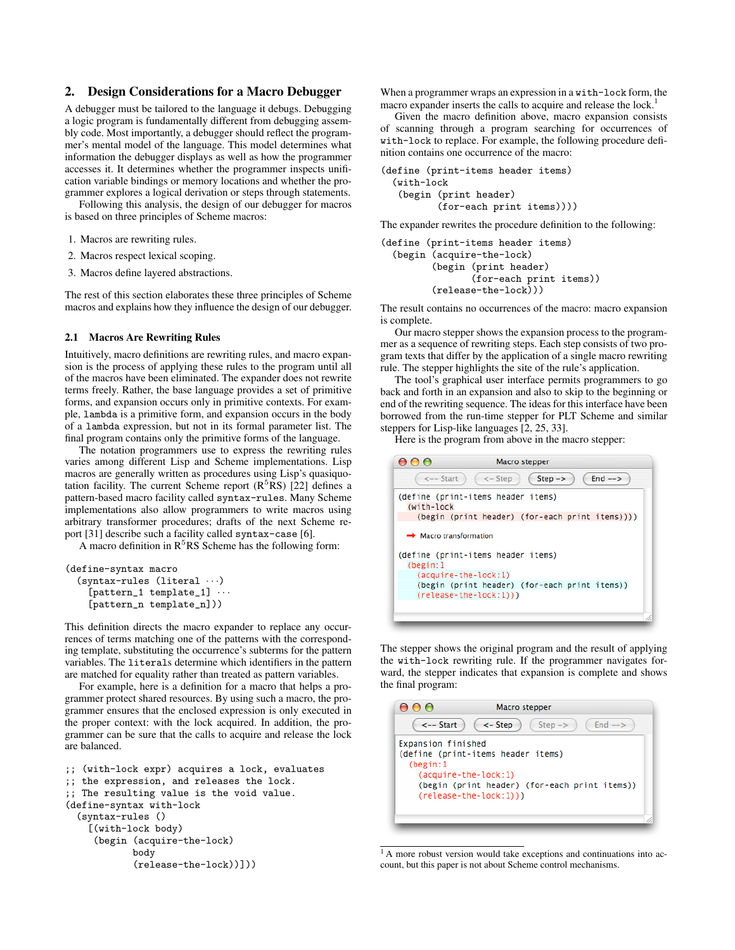## 2. Design Considerations for a Macro Debugger

A debugger must be tailored to the language it debugs. Debugging a logic program is fundamentally different from debugging assembly code. Most importantly, a debugger should reflect the programmer's mental model of the language. This model determines what information the debugger displays as well as how the programmer accesses it. It determines whether the programmer inspects unification variable bindings or memory locations and whether the programmer explores a logical derivation or steps through statements.

Following this analysis, the design of our debugger for macros is based on three principles of Scheme macros:

- 1. Macros are rewriting rules.
- 2. Macros respect lexical scoping.
- 3. Macros define layered abstractions.

The rest of this section elaborates these three principles of Scheme macros and explains how they influence the design of our debugger.

#### 2.1 Macros Are Rewriting Rules

Intuitively, macro definitions are rewriting rules, and macro expansion is the process of applying these rules to the program until all of the macros have been eliminated. The expander does not rewrite terms freely. Rather, the base language provides a set of primitive forms, and expansion occurs only in primitive contexts. For example, lambda is a primitive form, and expansion occurs in the body of a lambda expression, but not in its formal parameter list. The final program contains only the primitive forms of the language.

The notation programmers use to express the rewriting rules varies among different Lisp and Scheme implementations. Lisp macros are generally written as procedures using Lisp's quasiquotation facility. The current Scheme report  $(R<sup>5</sup>RS)$  [22] defines a pattern-based macro facility called syntax-rules. Many Scheme implementations also allow programmers to write macros using arbitrary transformer procedures; drafts of the next Scheme report [31] describe such a facility called syntax-case [6].

A macro definition in  $R<sup>5</sup>RS$  Scheme has the following form:

```
(define-syntax macro
 (syntax-rules (literal \cdots)
    [pattern_1 template_1] \cdots[pattern_n template_n]))
```
This definition directs the macro expander to replace any occurrences of terms matching one of the patterns with the corresponding template, substituting the occurrence's subterms for the pattern variables. The literals determine which identifiers in the pattern are matched for equality rather than treated as pattern variables.

For example, here is a definition for a macro that helps a programmer protect shared resources. By using such a macro, the programmer ensures that the enclosed expression is only executed in the proper context: with the lock acquired. In addition, the programmer can be sure that the calls to acquire and release the lock are balanced.

```
;; (with-lock expr) acquires a lock, evaluates
;; the expression, and releases the lock.
;; The resulting value is the void value.
(define-syntax with-lock
  (syntax-rules ()
    [(with-lock body)
     (begin (acquire-the-lock)
            body
            (release-the-lock))]))
```
When a programmer wraps an expression in a with-lock form, the macro expander inserts the calls to acquire and release the lock.<sup>1</sup>

Given the macro definition above, macro expansion consists of scanning through a program searching for occurrences of with-lock to replace. For example, the following procedure definition contains one occurrence of the macro:

```
(define (print-items header items)
  (with-lock
   (begin (print header)
          (for-each print items))))
```
The expander rewrites the procedure definition to the following:

```
(define (print-items header items)
 (begin (acquire-the-lock)
         (begin (print header)
                (for-each print items))
         (release-the-lock)))
```
The result contains no occurrences of the macro: macro expansion is complete.

Our macro stepper shows the expansion process to the programmer as a sequence of rewriting steps. Each step consists of two program texts that differ by the application of a single macro rewriting rule. The stepper highlights the site of the rule's application.

The tool's graphical user interface permits programmers to go back and forth in an expansion and also to skip to the beginning or end of the rewriting sequence. The ideas for this interface have been borrowed from the run-time stepper for PLT Scheme and similar steppers for Lisp-like languages [2, 25, 33].

Here is the program from above in the macro stepper:



The stepper shows the original program and the result of applying the with-lock rewriting rule. If the programmer navigates forward, the stepper indicates that expansion is complete and shows the final program:



<sup>&</sup>lt;sup>1</sup> A more robust version would take exceptions and continuations into account, but this paper is not about Scheme control mechanisms.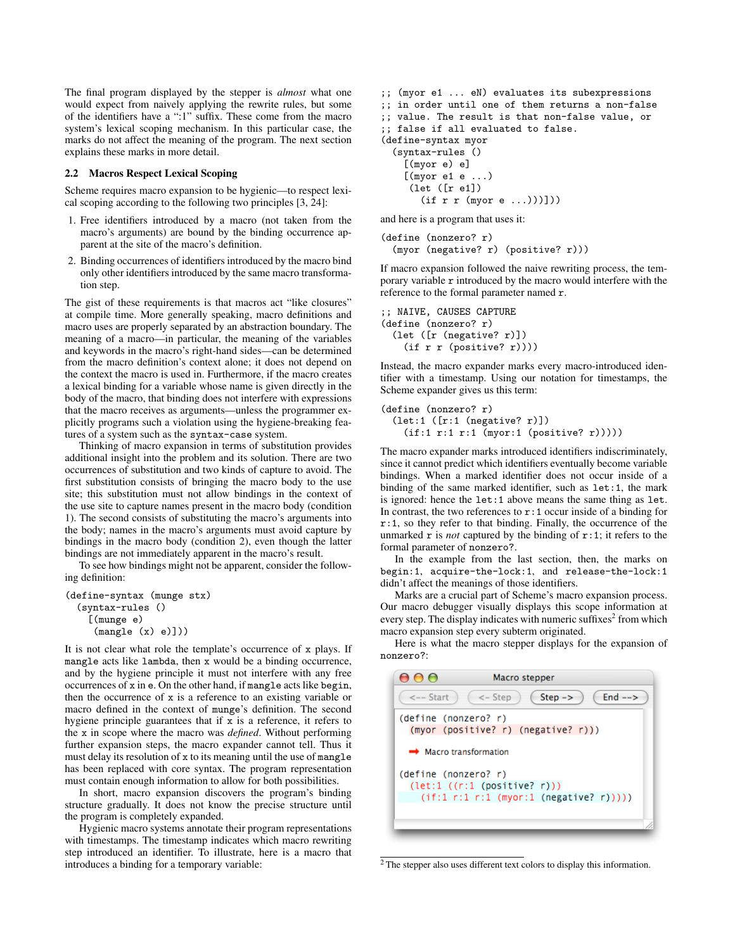The final program displayed by the stepper is *almost* what one would expect from naively applying the rewrite rules, but some of the identifiers have a ":1" suffix. These come from the macro system's lexical scoping mechanism. In this particular case, the marks do not affect the meaning of the program. The next section explains these marks in more detail.

#### 2.2 Macros Respect Lexical Scoping

Scheme requires macro expansion to be hygienic—to respect lexical scoping according to the following two principles [3, 24]:

- 1. Free identifiers introduced by a macro (not taken from the macro's arguments) are bound by the binding occurrence apparent at the site of the macro's definition.
- 2. Binding occurrences of identifiers introduced by the macro bind only other identifiers introduced by the same macro transformation step.

The gist of these requirements is that macros act "like closures" at compile time. More generally speaking, macro definitions and macro uses are properly separated by an abstraction boundary. The meaning of a macro—in particular, the meaning of the variables and keywords in the macro's right-hand sides—can be determined from the macro definition's context alone; it does not depend on the context the macro is used in. Furthermore, if the macro creates a lexical binding for a variable whose name is given directly in the body of the macro, that binding does not interfere with expressions that the macro receives as arguments—unless the programmer explicitly programs such a violation using the hygiene-breaking features of a system such as the syntax-case system.

Thinking of macro expansion in terms of substitution provides additional insight into the problem and its solution. There are two occurrences of substitution and two kinds of capture to avoid. The first substitution consists of bringing the macro body to the use site; this substitution must not allow bindings in the context of the use site to capture names present in the macro body (condition 1). The second consists of substituting the macro's arguments into the body; names in the macro's arguments must avoid capture by bindings in the macro body (condition 2), even though the latter bindings are not immediately apparent in the macro's result.

To see how bindings might not be apparent, consider the following definition:

```
(define-syntax (munge stx)
 (syntax-rules ()
    [(munge e)
     (mangle (x) e)]))
```
It is not clear what role the template's occurrence of x plays. If mangle acts like lambda, then x would be a binding occurrence, and by the hygiene principle it must not interfere with any free occurrences of x in e. On the other hand, if mangle acts like begin, then the occurrence of x is a reference to an existing variable or macro defined in the context of munge's definition. The second hygiene principle guarantees that if x is a reference, it refers to the x in scope where the macro was *defined*. Without performing further expansion steps, the macro expander cannot tell. Thus it must delay its resolution of x to its meaning until the use of mangle has been replaced with core syntax. The program representation must contain enough information to allow for both possibilities.

In short, macro expansion discovers the program's binding structure gradually. It does not know the precise structure until the program is completely expanded.

Hygienic macro systems annotate their program representations with timestamps. The timestamp indicates which macro rewriting step introduced an identifier. To illustrate, here is a macro that introduces a binding for a temporary variable:

```
;; (myor e1 ... eN) evaluates its subexpressions
;; in order until one of them returns a non-false
;; value. The result is that non-false value, or
;; false if all evaluated to false.
(define-syntax myor
 (syntax-rules ()
    [(myor e) e]
    [(myor e1 e ...)
     (let ([r e1])
```

```
(if r r (myor e ...)))]))
```
and here is a program that uses it:

```
(define (nonzero? r)
 (myor (negative? r) (positive? r)))
```
If macro expansion followed the naive rewriting process, the temporary variable r introduced by the macro would interfere with the reference to the formal parameter named r.

```
;; NAIVE, CAUSES CAPTURE
(define (nonzero? r)
 (let ([r (negative? r)])
    (if r r (positive? r))))
```
Instead, the macro expander marks every macro-introduced identifier with a timestamp. Using our notation for timestamps, the Scheme expander gives us this term:

```
(define (nonzero? r)
 (let:1 ([r:1 (negative? r)])
   (if:1 r:1 r:1 (myor:1 (positive? r)))))
```
The macro expander marks introduced identifiers indiscriminately, since it cannot predict which identifiers eventually become variable bindings. When a marked identifier does not occur inside of a binding of the same marked identifier, such as let:1, the mark is ignored: hence the let:1 above means the same thing as let. In contrast, the two references to  $r:1$  occur inside of a binding for r:1, so they refer to that binding. Finally, the occurrence of the unmarked  $r$  is *not* captured by the binding of  $r:1$ ; it refers to the formal parameter of nonzero?.

In the example from the last section, then, the marks on begin:1, acquire-the-lock:1, and release-the-lock:1 didn't affect the meanings of those identifiers.

Marks are a crucial part of Scheme's macro expansion process. Our macro debugger visually displays this scope information at every step. The display indicates with numeric suffixes<sup>2</sup> from which macro expansion step every subterm originated.

Here is what the macro stepper displays for the expansion of nonzero?:



<sup>2</sup> The stepper also uses different text colors to display this information.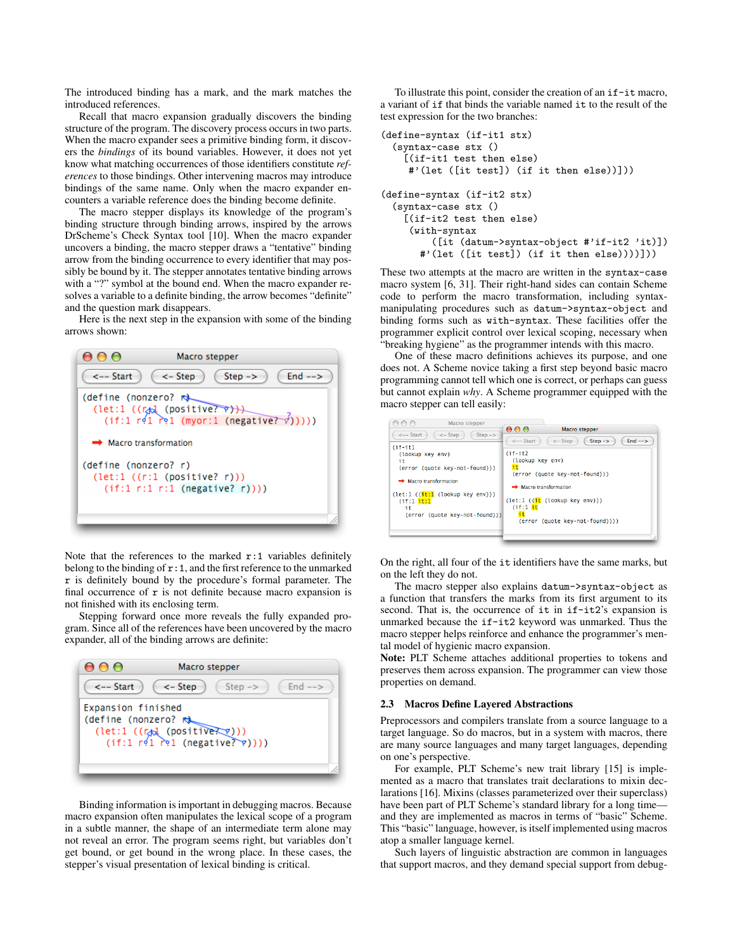The introduced binding has a mark, and the mark matches the introduced references.

Recall that macro expansion gradually discovers the binding structure of the program. The discovery process occurs in two parts. When the macro expander sees a primitive binding form, it discovers the *bindings* of its bound variables. However, it does not yet know what matching occurrences of those identifiers constitute *references* to those bindings. Other intervening macros may introduce bindings of the same name. Only when the macro expander encounters a variable reference does the binding become definite.

The macro stepper displays its knowledge of the program's binding structure through binding arrows, inspired by the arrows DrScheme's Check Syntax tool [10]. When the macro expander uncovers a binding, the macro stepper draws a "tentative" binding arrow from the binding occurrence to every identifier that may possibly be bound by it. The stepper annotates tentative binding arrows with a "?" symbol at the bound end. When the macro expander resolves a variable to a definite binding, the arrow becomes "definite" and the question mark disappears.

Here is the next step in the expansion with some of the binding arrows shown:



Note that the references to the marked  $r:1$  variables definitely belong to the binding of  $r:1$ , and the first reference to the unmarked r is definitely bound by the procedure's formal parameter. The final occurrence of  $r$  is not definite because macro expansion is not finished with its enclosing term.

Stepping forward once more reveals the fully expanded program. Since all of the references have been uncovered by the macro expander, all of the binding arrows are definite:



Binding information is important in debugging macros. Because macro expansion often manipulates the lexical scope of a program in a subtle manner, the shape of an intermediate term alone may not reveal an error. The program seems right, but variables don't get bound, or get bound in the wrong place. In these cases, the stepper's visual presentation of lexical binding is critical.

To illustrate this point, consider the creation of an if-it macro, a variant of if that binds the variable named it to the result of the test expression for the two branches:

```
(define-syntax (if-it1 stx)
 (syntax-case stx ()
    [(if-it1 test then else)
    #'(let ([it test]) (if it then else))]))
(define-syntax (if-it2 stx)
 (syntax-case stx ()
    [(if-it2 test then else)
     (with-syntax
         ([it (datum->syntax-object #'if-it2 'it)])
      #'(let ([it test]) (if it then else))))]))
```
These two attempts at the macro are written in the syntax-case macro system [6, 31]. Their right-hand sides can contain Scheme code to perform the macro transformation, including syntaxmanipulating procedures such as datum->syntax-object and binding forms such as with-syntax. These facilities offer the programmer explicit control over lexical scoping, necessary when "breaking hygiene" as the programmer intends with this macro.

One of these macro definitions achieves its purpose, and one does not. A Scheme novice taking a first step beyond basic macro programming cannot tell which one is correct, or perhaps can guess but cannot explain *why*. A Scheme programmer equipped with the macro stepper can tell easily:



On the right, all four of the it identifiers have the same marks, but on the left they do not.

The macro stepper also explains datum->syntax-object as a function that transfers the marks from its first argument to its second. That is, the occurrence of it in if-it2's expansion is unmarked because the if-it2 keyword was unmarked. Thus the macro stepper helps reinforce and enhance the programmer's mental model of hygienic macro expansion.

Note: PLT Scheme attaches additional properties to tokens and preserves them across expansion. The programmer can view those properties on demand.

### 2.3 Macros Define Layered Abstractions

Preprocessors and compilers translate from a source language to a target language. So do macros, but in a system with macros, there are many source languages and many target languages, depending on one's perspective.

For example, PLT Scheme's new trait library [15] is implemented as a macro that translates trait declarations to mixin declarations [16]. Mixins (classes parameterized over their superclass) have been part of PLT Scheme's standard library for a long time and they are implemented as macros in terms of "basic" Scheme. This "basic" language, however, is itself implemented using macros atop a smaller language kernel.

Such layers of linguistic abstraction are common in languages that support macros, and they demand special support from debug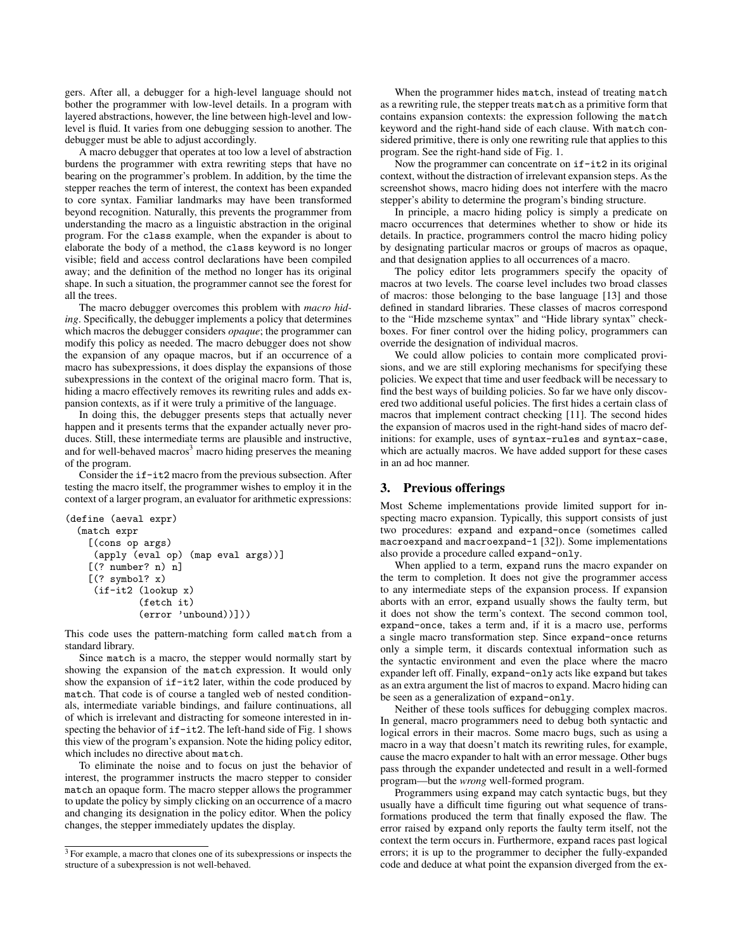gers. After all, a debugger for a high-level language should not bother the programmer with low-level details. In a program with layered abstractions, however, the line between high-level and lowlevel is fluid. It varies from one debugging session to another. The debugger must be able to adjust accordingly.

A macro debugger that operates at too low a level of abstraction burdens the programmer with extra rewriting steps that have no bearing on the programmer's problem. In addition, by the time the stepper reaches the term of interest, the context has been expanded to core syntax. Familiar landmarks may have been transformed beyond recognition. Naturally, this prevents the programmer from understanding the macro as a linguistic abstraction in the original program. For the class example, when the expander is about to elaborate the body of a method, the class keyword is no longer visible; field and access control declarations have been compiled away; and the definition of the method no longer has its original shape. In such a situation, the programmer cannot see the forest for all the trees.

The macro debugger overcomes this problem with *macro hiding*. Specifically, the debugger implements a policy that determines which macros the debugger considers *opaque*; the programmer can modify this policy as needed. The macro debugger does not show the expansion of any opaque macros, but if an occurrence of a macro has subexpressions, it does display the expansions of those subexpressions in the context of the original macro form. That is, hiding a macro effectively removes its rewriting rules and adds expansion contexts, as if it were truly a primitive of the language.

In doing this, the debugger presents steps that actually never happen and it presents terms that the expander actually never produces. Still, these intermediate terms are plausible and instructive, and for well-behaved macros<sup>3</sup> macro hiding preserves the meaning of the program.

Consider the if-it2 macro from the previous subsection. After testing the macro itself, the programmer wishes to employ it in the context of a larger program, an evaluator for arithmetic expressions:

```
(define (aeval expr)
  (match expr
    [(cons op args)
     (apply (eval op) (map eval args))]
    [(? number? n) n]
    [(? symbol? x)](if-it2 (lookup x)
             (fetch it)
             (error 'unbound))]))
```
This code uses the pattern-matching form called match from a standard library.

Since match is a macro, the stepper would normally start by showing the expansion of the match expression. It would only show the expansion of  $if-itz$  later, within the code produced by match. That code is of course a tangled web of nested conditionals, intermediate variable bindings, and failure continuations, all of which is irrelevant and distracting for someone interested in inspecting the behavior of if-it2. The left-hand side of Fig. 1 shows this view of the program's expansion. Note the hiding policy editor, which includes no directive about match.

To eliminate the noise and to focus on just the behavior of interest, the programmer instructs the macro stepper to consider match an opaque form. The macro stepper allows the programmer to update the policy by simply clicking on an occurrence of a macro and changing its designation in the policy editor. When the policy changes, the stepper immediately updates the display.

When the programmer hides match, instead of treating match as a rewriting rule, the stepper treats match as a primitive form that contains expansion contexts: the expression following the match keyword and the right-hand side of each clause. With match considered primitive, there is only one rewriting rule that applies to this program. See the right-hand side of Fig. 1.

Now the programmer can concentrate on  $if -it2$  in its original context, without the distraction of irrelevant expansion steps. As the screenshot shows, macro hiding does not interfere with the macro stepper's ability to determine the program's binding structure.

In principle, a macro hiding policy is simply a predicate on macro occurrences that determines whether to show or hide its details. In practice, programmers control the macro hiding policy by designating particular macros or groups of macros as opaque, and that designation applies to all occurrences of a macro.

The policy editor lets programmers specify the opacity of macros at two levels. The coarse level includes two broad classes of macros: those belonging to the base language [13] and those defined in standard libraries. These classes of macros correspond to the "Hide mzscheme syntax" and "Hide library syntax" checkboxes. For finer control over the hiding policy, programmers can override the designation of individual macros.

We could allow policies to contain more complicated provisions, and we are still exploring mechanisms for specifying these policies. We expect that time and user feedback will be necessary to find the best ways of building policies. So far we have only discovered two additional useful policies. The first hides a certain class of macros that implement contract checking [11]. The second hides the expansion of macros used in the right-hand sides of macro definitions: for example, uses of syntax-rules and syntax-case, which are actually macros. We have added support for these cases in an ad hoc manner.

## 3. Previous offerings

Most Scheme implementations provide limited support for inspecting macro expansion. Typically, this support consists of just two procedures: expand and expand-once (sometimes called macroexpand and macroexpand-1 [32]). Some implementations also provide a procedure called expand-only.

When applied to a term, expand runs the macro expander on the term to completion. It does not give the programmer access to any intermediate steps of the expansion process. If expansion aborts with an error, expand usually shows the faulty term, but it does not show the term's context. The second common tool, expand-once, takes a term and, if it is a macro use, performs a single macro transformation step. Since expand-once returns only a simple term, it discards contextual information such as the syntactic environment and even the place where the macro expander left off. Finally, expand-only acts like expand but takes as an extra argument the list of macros to expand. Macro hiding can be seen as a generalization of expand-only.

Neither of these tools suffices for debugging complex macros. In general, macro programmers need to debug both syntactic and logical errors in their macros. Some macro bugs, such as using a macro in a way that doesn't match its rewriting rules, for example, cause the macro expander to halt with an error message. Other bugs pass through the expander undetected and result in a well-formed program—but the *wrong* well-formed program.

Programmers using expand may catch syntactic bugs, but they usually have a difficult time figuring out what sequence of transformations produced the term that finally exposed the flaw. The error raised by expand only reports the faulty term itself, not the context the term occurs in. Furthermore, expand races past logical errors; it is up to the programmer to decipher the fully-expanded code and deduce at what point the expansion diverged from the ex-

<sup>3</sup> For example, a macro that clones one of its subexpressions or inspects the structure of a subexpression is not well-behaved.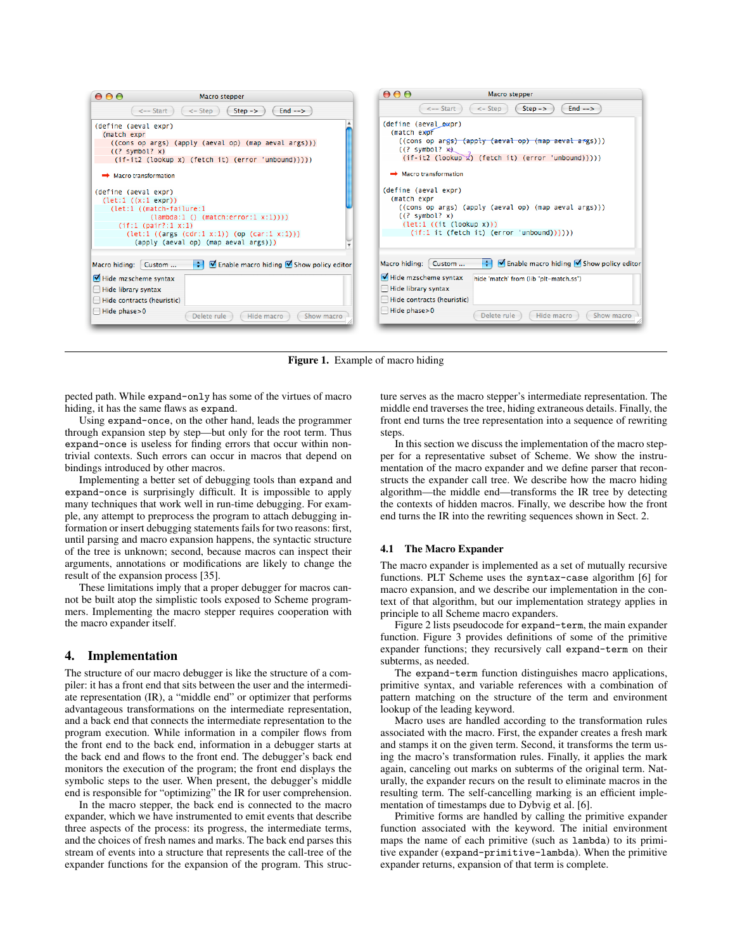

Figure 1. Example of macro hiding

pected path. While expand-only has some of the virtues of macro hiding, it has the same flaws as expand.

Using expand-once, on the other hand, leads the programmer through expansion step by step—but only for the root term. Thus expand-once is useless for finding errors that occur within nontrivial contexts. Such errors can occur in macros that depend on bindings introduced by other macros.

Implementing a better set of debugging tools than expand and expand-once is surprisingly difficult. It is impossible to apply many techniques that work well in run-time debugging. For example, any attempt to preprocess the program to attach debugging information or insert debugging statements fails for two reasons: first, until parsing and macro expansion happens, the syntactic structure of the tree is unknown; second, because macros can inspect their arguments, annotations or modifications are likely to change the result of the expansion process [35].

These limitations imply that a proper debugger for macros cannot be built atop the simplistic tools exposed to Scheme programmers. Implementing the macro stepper requires cooperation with the macro expander itself.

## 4. Implementation

The structure of our macro debugger is like the structure of a compiler: it has a front end that sits between the user and the intermediate representation (IR), a "middle end" or optimizer that performs advantageous transformations on the intermediate representation, and a back end that connects the intermediate representation to the program execution. While information in a compiler flows from the front end to the back end, information in a debugger starts at the back end and flows to the front end. The debugger's back end monitors the execution of the program; the front end displays the symbolic steps to the user. When present, the debugger's middle end is responsible for "optimizing" the IR for user comprehension.

In the macro stepper, the back end is connected to the macro expander, which we have instrumented to emit events that describe three aspects of the process: its progress, the intermediate terms, and the choices of fresh names and marks. The back end parses this stream of events into a structure that represents the call-tree of the expander functions for the expansion of the program. This structure serves as the macro stepper's intermediate representation. The middle end traverses the tree, hiding extraneous details. Finally, the front end turns the tree representation into a sequence of rewriting steps.

In this section we discuss the implementation of the macro stepper for a representative subset of Scheme. We show the instrumentation of the macro expander and we define parser that reconstructs the expander call tree. We describe how the macro hiding algorithm—the middle end—transforms the IR tree by detecting the contexts of hidden macros. Finally, we describe how the front end turns the IR into the rewriting sequences shown in Sect. 2.

## 4.1 The Macro Expander

The macro expander is implemented as a set of mutually recursive functions. PLT Scheme uses the syntax-case algorithm [6] for macro expansion, and we describe our implementation in the context of that algorithm, but our implementation strategy applies in principle to all Scheme macro expanders.

Figure 2 lists pseudocode for expand-term, the main expander function. Figure 3 provides definitions of some of the primitive expander functions; they recursively call expand-term on their subterms, as needed.

The expand-term function distinguishes macro applications, primitive syntax, and variable references with a combination of pattern matching on the structure of the term and environment lookup of the leading keyword.

Macro uses are handled according to the transformation rules associated with the macro. First, the expander creates a fresh mark and stamps it on the given term. Second, it transforms the term using the macro's transformation rules. Finally, it applies the mark again, canceling out marks on subterms of the original term. Naturally, the expander recurs on the result to eliminate macros in the resulting term. The self-cancelling marking is an efficient implementation of timestamps due to Dybvig et al. [6].

Primitive forms are handled by calling the primitive expander function associated with the keyword. The initial environment maps the name of each primitive (such as lambda) to its primitive expander (expand-primitive-lambda). When the primitive expander returns, expansion of that term is complete.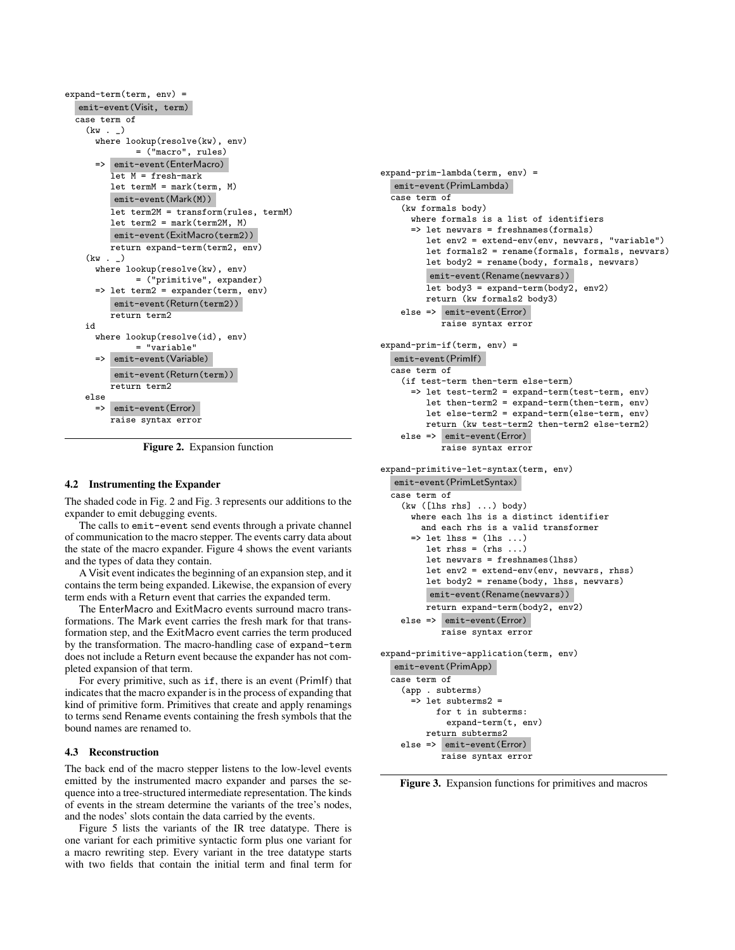```
expand-term(term, env) =
  emit-event(Visit, term)
  case term of
    (kw \tcdot )where lookup(resolve(kw), env)
              = ("macro", rules)
      => emit-event(EnterMacro)
         let M = fresh-mark
         let termM = mark(term, M)emit-event(Mark(M))
         let term2M = transform(rules, termM)
         let term2 = mark(term2M, M)emit-event(ExitMacro(term2))
         return expand-term(term2, env)
    (kw \tldots)where lookup(resolve(kw), env)
              = ("primitive", expander)
      => let term2 = expander(term, env)
          emit-event(Return(term2))
         return term2
    id
      where lookup(resolve(id), env)
              = "variable"
      => emit-event(Variable)
          emit-event(Return(term))
         return term2
    else
         emit-event(Error)
         raise syntax error
```
Figure 2. Expansion function

## 4.2 Instrumenting the Expander

The shaded code in Fig. 2 and Fig. 3 represents our additions to the expander to emit debugging events.

The calls to emit-event send events through a private channel of communication to the macro stepper. The events carry data about the state of the macro expander. Figure 4 shows the event variants and the types of data they contain.

A Visit event indicates the beginning of an expansion step, and it contains the term being expanded. Likewise, the expansion of every term ends with a Return event that carries the expanded term.

The EnterMacro and ExitMacro events surround macro transformations. The Mark event carries the fresh mark for that transformation step, and the ExitMacro event carries the term produced by the transformation. The macro-handling case of expand-term does not include a Return event because the expander has not completed expansion of that term.

For every primitive, such as if, there is an event (PrimIf) that indicates that the macro expander is in the process of expanding that kind of primitive form. Primitives that create and apply renamings to terms send Rename events containing the fresh symbols that the bound names are renamed to.

## 4.3 Reconstruction

The back end of the macro stepper listens to the low-level events emitted by the instrumented macro expander and parses the sequence into a tree-structured intermediate representation. The kinds of events in the stream determine the variants of the tree's nodes, and the nodes' slots contain the data carried by the events.

Figure 5 lists the variants of the IR tree datatype. There is one variant for each primitive syntactic form plus one variant for a macro rewriting step. Every variant in the tree datatype starts with two fields that contain the initial term and final term for

```
expand-prim-lambda(term, env) =
  emit-event(PrimLambda)
  case term of
    (kw formals body)
      where formals is a list of identifiers
      \Rightarrow let newvars = freshnames(formals)
         let env2 = extend-env(env, newvars, "variable")
         let formals2 = rename(formals, formals, newvars)
         let body2 = rename(body, formals, newvars)
         emit-event(Rename(newvars))
         let body3 = expand-term(body2, env2)
         return (kw formals2 body3)
    else => emit-event(Error)
            raise syntax error
expand-prim-if(term, env) =
  emit-event(PrimIf)
  case term of
    (if test-term then-term else-term)
      => let test-term2 = expand-term(test-term, env)
         let then-term2 = expand-term(then-term, env)
         let else-term2 = expand-term(else-term, env)
         return (kw test-term2 then-term2 else-term2)
    else => emit-event(Error)
            raise syntax error
expand-primitive-let-syntax(term, env)
   emit-event(PrimLetSyntax)
  case term of
    (kw ([lhs rhs] ...) body)
      where each lhs is a distinct identifier
        and each rhs is a valid transformer
      \Rightarrow let lhss = (lhs ...)
         let rhss = (rhs ...)
         let newvars = freshnames(lhss)
         let env2 = extend-env(env, newvars, rhss)
         let body2 = rename(body, lhss, newvars)
          emit-event(Rename(newvars))
         return expand-term(body2, env2)
    else => emit-event(Error)
            raise syntax error
expand-primitive-application(term, env)
  emit-event(PrimApp)
  case term of
    (app . subterms)
      \Rightarrow let subterms2 =
           for t in subterms:
             expand-term(t, env)
         return subterms2
    else => emit-event(Error)
            raise syntax error
```
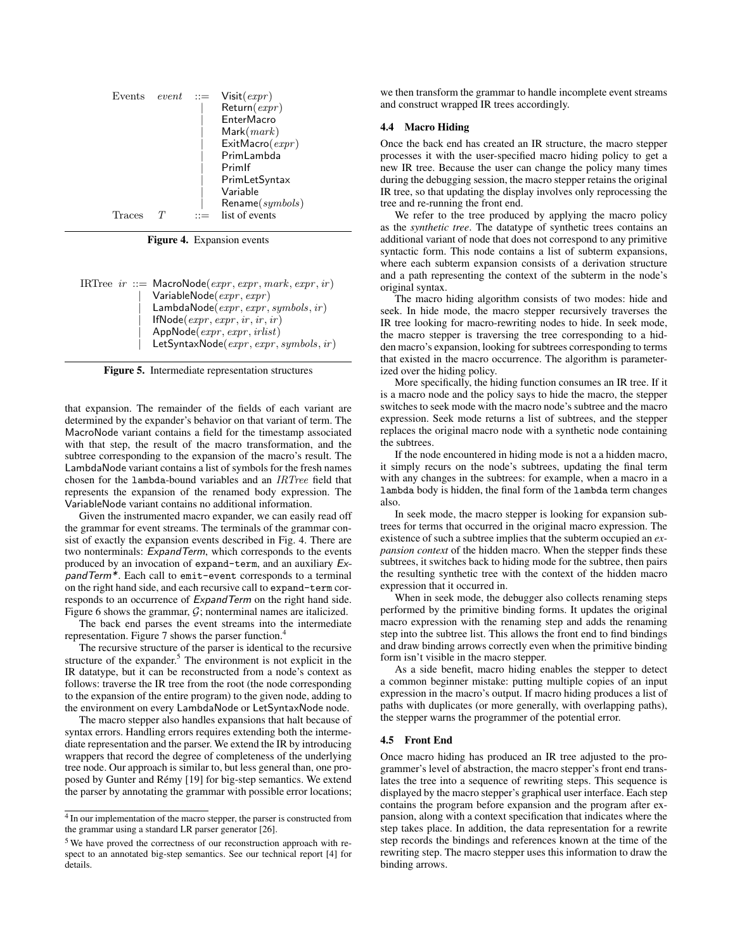| Events | event | $\therefore =$ | Visit(exp)                 |
|--------|-------|----------------|----------------------------|
|        |       |                | Return(expr)               |
|        |       |                | EnterMacro                 |
|        |       |                | Mark(mark)                 |
|        |       |                | ExitMacro(exp)             |
|        |       |                | PrimLambda                 |
|        |       |                | Primlf                     |
|        |       |                | PrimLetSyntax              |
|        |       |                | Variable                   |
|        |       |                | $\mathsf{Rename}(symbols)$ |
|        |       |                | list of events             |

Figure 4. Expansion events

IRTree  $ir ::=$  MacroNode( $expr, expr, mark, expr, ir$ ) | VariableNode(expr, expr) LambdaNode(expr, expr, symbols, ir)  $IfNode(expr, expr, ir, ir, ir)$ | AppNode(expr, expr, irlist) LetSyntaxNode(expr, expr, symbols, ir)

Figure 5. Intermediate representation structures

that expansion. The remainder of the fields of each variant are determined by the expander's behavior on that variant of term. The MacroNode variant contains a field for the timestamp associated with that step, the result of the macro transformation, and the subtree corresponding to the expansion of the macro's result. The LambdaNode variant contains a list of symbols for the fresh names chosen for the lambda-bound variables and an IRTree field that represents the expansion of the renamed body expression. The VariableNode variant contains no additional information.

Given the instrumented macro expander, we can easily read off the grammar for event streams. The terminals of the grammar consist of exactly the expansion events described in Fig. 4. There are two nonterminals: ExpandTerm, which corresponds to the events produced by an invocation of expand-term, and an auxiliary ExpandTerm\*. Each call to emit-event corresponds to a terminal on the right hand side, and each recursive call to expand-term corresponds to an occurrence of ExpandTerm on the right hand side. Figure 6 shows the grammar,  $\mathcal{G}$ ; nonterminal names are italicized.

The back end parses the event streams into the intermediate representation. Figure 7 shows the parser function.<sup>4</sup>

The recursive structure of the parser is identical to the recursive structure of the expander.<sup>5</sup> The environment is not explicit in the IR datatype, but it can be reconstructed from a node's context as follows: traverse the IR tree from the root (the node corresponding to the expansion of the entire program) to the given node, adding to the environment on every LambdaNode or LetSyntaxNode node.

The macro stepper also handles expansions that halt because of syntax errors. Handling errors requires extending both the intermediate representation and the parser. We extend the IR by introducing wrappers that record the degree of completeness of the underlying tree node. Our approach is similar to, but less general than, one proposed by Gunter and Rémy [19] for big-step semantics. We extend the parser by annotating the grammar with possible error locations;

we then transform the grammar to handle incomplete event streams and construct wrapped IR trees accordingly.

### 4.4 Macro Hiding

Once the back end has created an IR structure, the macro stepper processes it with the user-specified macro hiding policy to get a new IR tree. Because the user can change the policy many times during the debugging session, the macro stepper retains the original IR tree, so that updating the display involves only reprocessing the tree and re-running the front end.

We refer to the tree produced by applying the macro policy as the *synthetic tree*. The datatype of synthetic trees contains an additional variant of node that does not correspond to any primitive syntactic form. This node contains a list of subterm expansions, where each subterm expansion consists of a derivation structure and a path representing the context of the subterm in the node's original syntax.

The macro hiding algorithm consists of two modes: hide and seek. In hide mode, the macro stepper recursively traverses the IR tree looking for macro-rewriting nodes to hide. In seek mode, the macro stepper is traversing the tree corresponding to a hidden macro's expansion, looking for subtrees corresponding to terms that existed in the macro occurrence. The algorithm is parameterized over the hiding policy.

More specifically, the hiding function consumes an IR tree. If it is a macro node and the policy says to hide the macro, the stepper switches to seek mode with the macro node's subtree and the macro expression. Seek mode returns a list of subtrees, and the stepper replaces the original macro node with a synthetic node containing the subtrees.

If the node encountered in hiding mode is not a a hidden macro, it simply recurs on the node's subtrees, updating the final term with any changes in the subtrees: for example, when a macro in a lambda body is hidden, the final form of the lambda term changes also.

In seek mode, the macro stepper is looking for expansion subtrees for terms that occurred in the original macro expression. The existence of such a subtree implies that the subterm occupied an *expansion context* of the hidden macro. When the stepper finds these subtrees, it switches back to hiding mode for the subtree, then pairs the resulting synthetic tree with the context of the hidden macro expression that it occurred in.

When in seek mode, the debugger also collects renaming steps performed by the primitive binding forms. It updates the original macro expression with the renaming step and adds the renaming step into the subtree list. This allows the front end to find bindings and draw binding arrows correctly even when the primitive binding form isn't visible in the macro stepper.

As a side benefit, macro hiding enables the stepper to detect a common beginner mistake: putting multiple copies of an input expression in the macro's output. If macro hiding produces a list of paths with duplicates (or more generally, with overlapping paths), the stepper warns the programmer of the potential error.

## 4.5 Front End

Once macro hiding has produced an IR tree adjusted to the programmer's level of abstraction, the macro stepper's front end translates the tree into a sequence of rewriting steps. This sequence is displayed by the macro stepper's graphical user interface. Each step contains the program before expansion and the program after expansion, along with a context specification that indicates where the step takes place. In addition, the data representation for a rewrite step records the bindings and references known at the time of the rewriting step. The macro stepper uses this information to draw the binding arrows.

<sup>&</sup>lt;sup>4</sup> In our implementation of the macro stepper, the parser is constructed from the grammar using a standard LR parser generator [26].

<sup>5</sup> We have proved the correctness of our reconstruction approach with respect to an annotated big-step semantics. See our technical report [4] for details.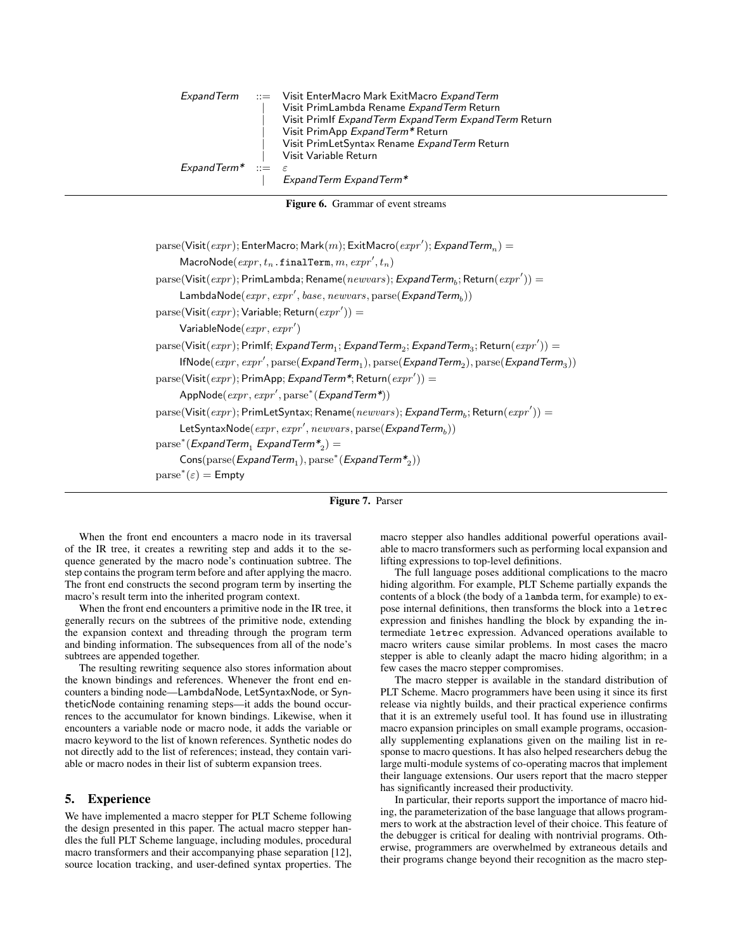| Expand Term                                 | $\dot{z} =$ Visit EnterMacro Mark ExitMacro ExpandTerm  |
|---------------------------------------------|---------------------------------------------------------|
|                                             | Visit PrimLambda Rename ExpandTerm Return               |
|                                             | Visit Primlf Expand Term Expand Term Expand Term Return |
|                                             | Visit PrimApp Expand Term* Return                       |
|                                             | Visit PrimLetSyntax Rename ExpandTerm Return            |
|                                             | Visit Variable Return                                   |
| Expand Term <sup>*</sup> $:=$ $\varepsilon$ |                                                         |
|                                             | Expand Term Expand Term*                                |

Figure 6. Grammar of event streams

```
\mathrm{parse}(\mathsf{Visit}(expr); \mathsf{EnterMacco}; \mathsf{Mark}(m); \mathsf{ExitMacco}(expr'); \mathsf{ExpandTerm}_n) =\mathsf{MacrolNode}(expr, t_n \texttt{.finalTerm}, m, expr', t_n)\mathrm{parse}(\mathsf{Visit}(\mathit{expr}); \mathsf{PrimLambda}; \mathsf{Rename}(\mathit{newvars}); \mathsf{ExpandTerm}_b; \mathsf{Return}(\mathit{expr'})) =\textsf{LambdaNode}(\textit{expr}, \textit{expr}', \textit{base}, \textit{newvars}, \textit{parse}(\textit{ExpandTerm}_b))\text{parse}(V\text{isit}(expr); \text{Variable}; \text{Return}(expr')) =VariableNode(expr, expr')\mathrm{parse}(\mathsf{Visit}(expr); \mathsf{Primlf}; \mathsf{ExpandTerm}_1; \mathsf{ExpandTerm}_2; \mathsf{ExpandTerm}_3; \mathsf{Return}(expr')) =\pmb{\text{IfNode}}(\textit{expr}, \textit{expr}', \text{parse}(\textit{ExpandTerm}_1), \text{parse}(\textit{ExpandTerm}_2), \text{parse}(\textit{ExpandTerm}_3))\text{parse}(\text{Visit}(expr); \text{PrimApp}; \text{ExpandTerm*}; \text{Return}(expr')) =\mathsf{AppNode}(expr, expr', parse^*(\mathsf{ExpandTerm^*}))\mathrm{parse}(\mathsf{Visit}(\mathit{expr}); \mathsf{PrintLetSyntax}; \mathsf{Rename}(\mathit{newvars}); \mathsf{ExpandTerm}_b; \mathsf{Return}(\mathit{expr}')) =LetSyntaxNode(\mathit{expr}, \mathit{expr}', \mathit{newvars}, \text{parse}(\mathit{ExpandTerm}_b))\text{parse}^*(\text{ExpandTerm}_1 \text{ ExpandTerm}^*_2) =\mathsf{Cons}(\mathsf{parse}(\mathit{ExpandTerm}_1), \mathsf{parse}^*(\mathit{ExpandTerm}^*_2))\text{parse}^*(\varepsilon) = \textsf{Empty}
```
Figure 7. Parser

When the front end encounters a macro node in its traversal of the IR tree, it creates a rewriting step and adds it to the sequence generated by the macro node's continuation subtree. The step contains the program term before and after applying the macro. The front end constructs the second program term by inserting the macro's result term into the inherited program context.

When the front end encounters a primitive node in the IR tree, it generally recurs on the subtrees of the primitive node, extending the expansion context and threading through the program term and binding information. The subsequences from all of the node's subtrees are appended together.

The resulting rewriting sequence also stores information about the known bindings and references. Whenever the front end encounters a binding node—LambdaNode, LetSyntaxNode, or SyntheticNode containing renaming steps—it adds the bound occurrences to the accumulator for known bindings. Likewise, when it encounters a variable node or macro node, it adds the variable or macro keyword to the list of known references. Synthetic nodes do not directly add to the list of references; instead, they contain variable or macro nodes in their list of subterm expansion trees.

## 5. Experience

We have implemented a macro stepper for PLT Scheme following the design presented in this paper. The actual macro stepper handles the full PLT Scheme language, including modules, procedural macro transformers and their accompanying phase separation [12], source location tracking, and user-defined syntax properties. The

macro stepper also handles additional powerful operations available to macro transformers such as performing local expansion and lifting expressions to top-level definitions.

The full language poses additional complications to the macro hiding algorithm. For example, PLT Scheme partially expands the contents of a block (the body of a lambda term, for example) to expose internal definitions, then transforms the block into a letrec expression and finishes handling the block by expanding the intermediate letrec expression. Advanced operations available to macro writers cause similar problems. In most cases the macro stepper is able to cleanly adapt the macro hiding algorithm; in a few cases the macro stepper compromises.

The macro stepper is available in the standard distribution of PLT Scheme. Macro programmers have been using it since its first release via nightly builds, and their practical experience confirms that it is an extremely useful tool. It has found use in illustrating macro expansion principles on small example programs, occasionally supplementing explanations given on the mailing list in response to macro questions. It has also helped researchers debug the large multi-module systems of co-operating macros that implement their language extensions. Our users report that the macro stepper has significantly increased their productivity.

In particular, their reports support the importance of macro hiding, the parameterization of the base language that allows programmers to work at the abstraction level of their choice. This feature of the debugger is critical for dealing with nontrivial programs. Otherwise, programmers are overwhelmed by extraneous details and their programs change beyond their recognition as the macro step